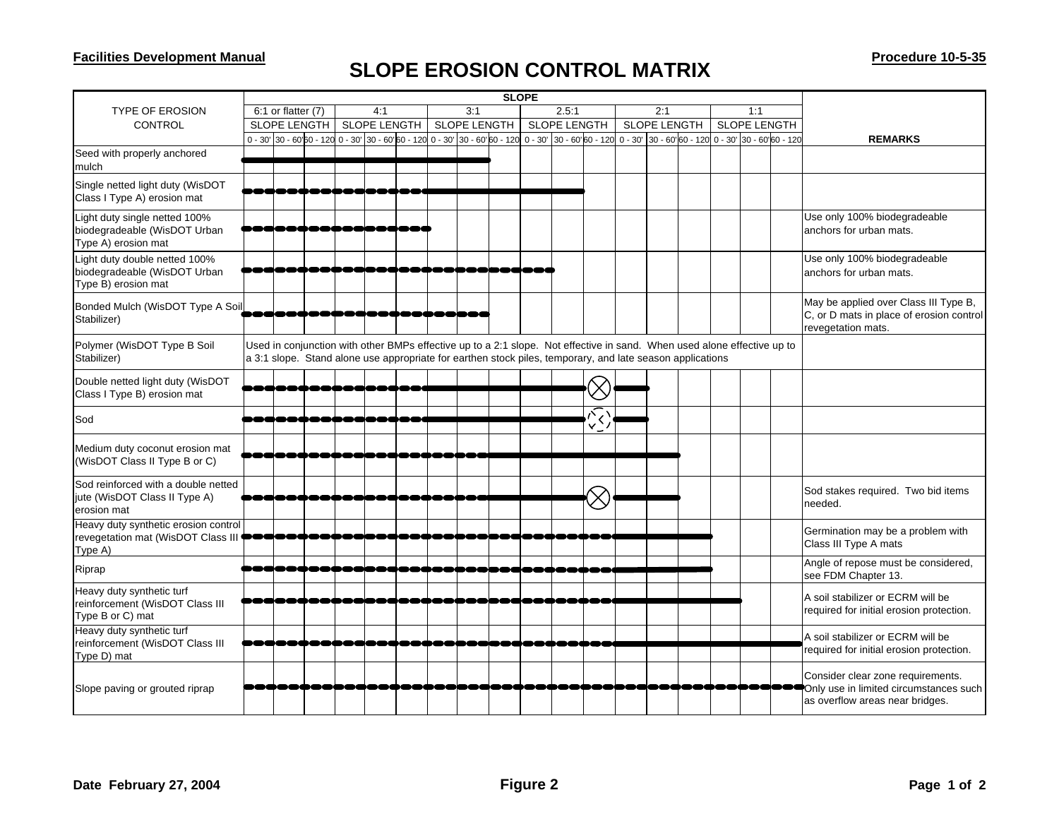## **SLOPE EROSION CONTROL MATRIX**

|                                                                                       |                        |  |                     |  |     |                                                                              |  |     |              | <b>SLOPE</b> |                            |                     |  |                                                                                                                                                                                                                                      |                     |  |     |  |                                                                                                                |
|---------------------------------------------------------------------------------------|------------------------|--|---------------------|--|-----|------------------------------------------------------------------------------|--|-----|--------------|--------------|----------------------------|---------------------|--|--------------------------------------------------------------------------------------------------------------------------------------------------------------------------------------------------------------------------------------|---------------------|--|-----|--|----------------------------------------------------------------------------------------------------------------|
| <b>TYPE OF EROSION</b>                                                                | $6:1$ or flatter $(7)$ |  |                     |  | 4:1 |                                                                              |  | 3:1 |              |              | 2.5:1                      |                     |  | 2:1                                                                                                                                                                                                                                  |                     |  | 1:1 |  |                                                                                                                |
| <b>CONTROL</b>                                                                        | <b>SLOPE LENGTH</b>    |  | <b>SLOPE LENGTH</b> |  |     | <b>SLOPE LENGTH</b>                                                          |  |     | SLOPE LENGTH |              |                            | <b>SLOPE LENGTH</b> |  |                                                                                                                                                                                                                                      | <b>SLOPE LENGTH</b> |  |     |  |                                                                                                                |
|                                                                                       |                        |  |                     |  |     | $0 - 30'$ 30 - 60'60 - 120 0 - 30' 30 - 60'60 - 120 0 - 30' 30 - 60'60 - 120 |  |     |              |              | $0 - 30'$ 30 - 60 60 - 120 |                     |  | 0 - 30' 30 - 60' 60 - 120 0 - 30' 30 - 60' 60 - 120                                                                                                                                                                                  |                     |  |     |  | <b>REMARKS</b>                                                                                                 |
| Seed with properly anchored<br>mulch                                                  |                        |  |                     |  |     |                                                                              |  |     |              |              |                            |                     |  |                                                                                                                                                                                                                                      |                     |  |     |  |                                                                                                                |
| Single netted light duty (WisDOT<br>Class I Type A) erosion mat                       |                        |  |                     |  |     |                                                                              |  |     |              |              |                            |                     |  |                                                                                                                                                                                                                                      |                     |  |     |  |                                                                                                                |
| Light duty single netted 100%<br>biodegradeable (WisDOT Urban<br>Type A) erosion mat  |                        |  |                     |  |     |                                                                              |  |     |              |              |                            |                     |  |                                                                                                                                                                                                                                      |                     |  |     |  | Use only 100% biodegradeable<br>anchors for urban mats.                                                        |
| Light duty double netted 100%<br>biodegradeable (WisDOT Urban<br>Type B) erosion mat  |                        |  |                     |  |     |                                                                              |  |     |              |              |                            |                     |  |                                                                                                                                                                                                                                      |                     |  |     |  | Use only 100% biodegradeable<br>anchors for urban mats.                                                        |
| Bonded Mulch (WisDOT Type A Soil<br>Stabilizer)                                       |                        |  |                     |  |     |                                                                              |  |     |              |              |                            |                     |  |                                                                                                                                                                                                                                      |                     |  |     |  | May be applied over Class III Type B,<br>C, or D mats in place of erosion control<br>revegetation mats.        |
| Polymer (WisDOT Type B Soil<br>Stabilizer)                                            |                        |  |                     |  |     |                                                                              |  |     |              |              |                            |                     |  | Used in conjunction with other BMPs effective up to a 2:1 slope. Not effective in sand. When used alone effective up to<br>a 3:1 slope. Stand alone use appropriate for earthen stock piles, temporary, and late season applications |                     |  |     |  |                                                                                                                |
| Double netted light duty (WisDOT<br>Class I Type B) erosion mat                       |                        |  |                     |  |     |                                                                              |  |     |              |              |                            |                     |  |                                                                                                                                                                                                                                      |                     |  |     |  |                                                                                                                |
| Sod                                                                                   |                        |  |                     |  |     |                                                                              |  |     |              |              |                            |                     |  |                                                                                                                                                                                                                                      |                     |  |     |  |                                                                                                                |
| Medium duty coconut erosion mat<br>(WisDOT Class II Type B or C)                      |                        |  |                     |  |     |                                                                              |  |     |              |              |                            |                     |  |                                                                                                                                                                                                                                      |                     |  |     |  |                                                                                                                |
| Sod reinforced with a double netted<br>jute (WisDOT Class II Type A)<br>erosion mat   |                        |  |                     |  |     |                                                                              |  |     |              |              |                            |                     |  |                                                                                                                                                                                                                                      |                     |  |     |  | Sod stakes required. Two bid items<br>needed.                                                                  |
| Heavy duty synthetic erosion control<br>revegetation mat (WisDOT Class III<br>Type A) |                        |  |                     |  |     |                                                                              |  |     |              |              |                            |                     |  |                                                                                                                                                                                                                                      |                     |  |     |  | Germination may be a problem with<br>Class III Type A mats                                                     |
| Riprap                                                                                |                        |  |                     |  |     |                                                                              |  |     |              |              |                            |                     |  |                                                                                                                                                                                                                                      |                     |  |     |  | Angle of repose must be considered,<br>see FDM Chapter 13.                                                     |
| Heavy duty synthetic turf<br>reinforcement (WisDOT Class III<br>Type B or C) mat      |                        |  |                     |  |     |                                                                              |  |     |              |              |                            |                     |  |                                                                                                                                                                                                                                      |                     |  |     |  | A soil stabilizer or ECRM will be<br>required for initial erosion protection.                                  |
| Heavy duty synthetic turf<br>reinforcement (WisDOT Class III<br>Type D) mat           |                        |  |                     |  |     |                                                                              |  |     |              |              |                            |                     |  |                                                                                                                                                                                                                                      |                     |  |     |  | A soil stabilizer or ECRM will be<br>required for initial erosion protection.                                  |
| Slope paving or grouted riprap                                                        |                        |  |                     |  |     |                                                                              |  |     |              |              |                            |                     |  |                                                                                                                                                                                                                                      |                     |  |     |  | Consider clear zone requirements.<br>Only use in limited circumstances such<br>as overflow areas near bridges. |